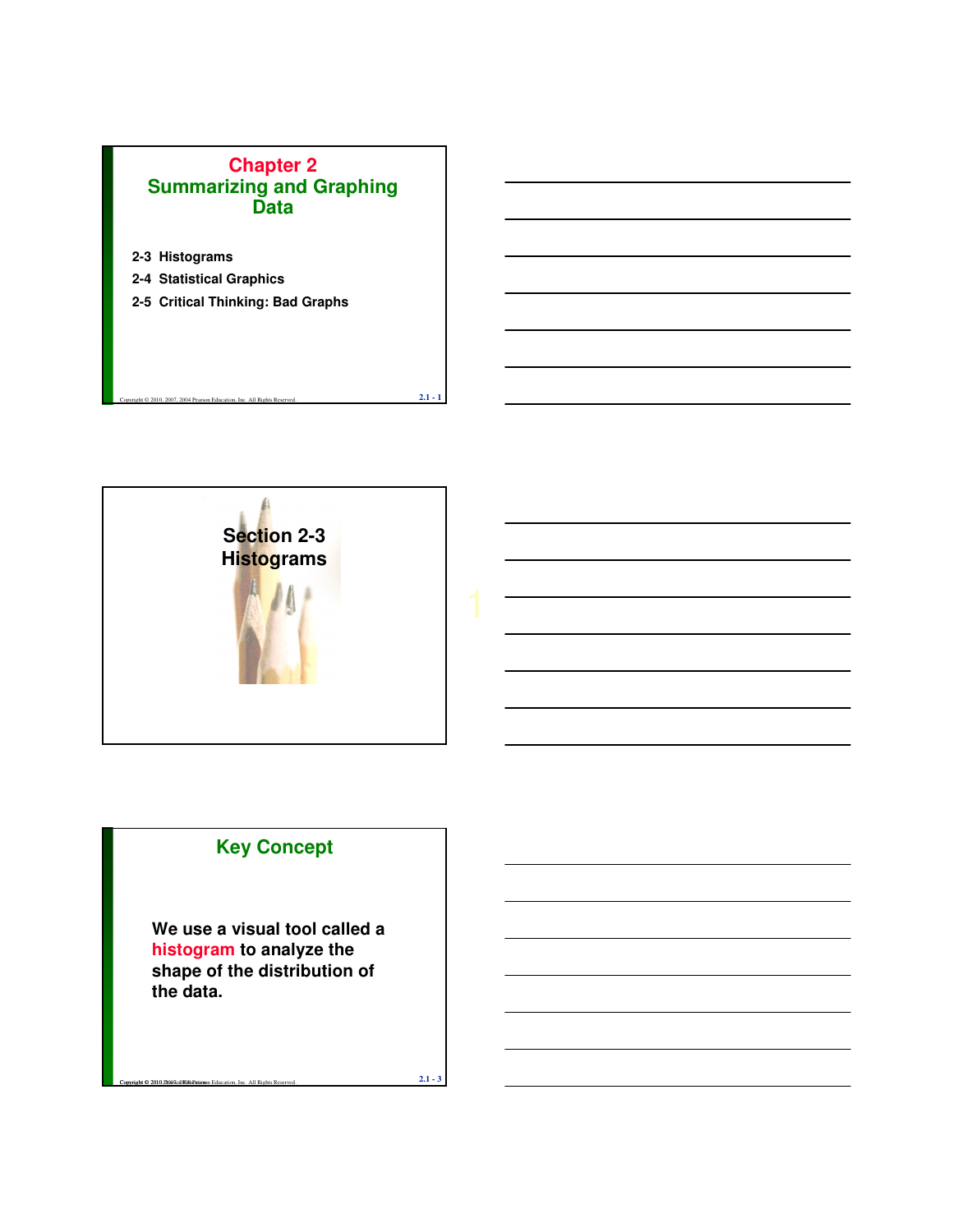

- **2-3 Histograms**
- **2-4 Statistical Graphics**
- **2-5 Critical Thinking: Bad Graphs**



2004 Pearson Education, Inc. All Rights Reserved. **2.1 - 1** 

# **Key Concept**

**We use a visual tool called a histogram to analyze the shape of the distribution of the data.**

 $\overline{c}$  2010, Pierre General Pearson Education, Inc. All Rights Reserved. **2.1** - 3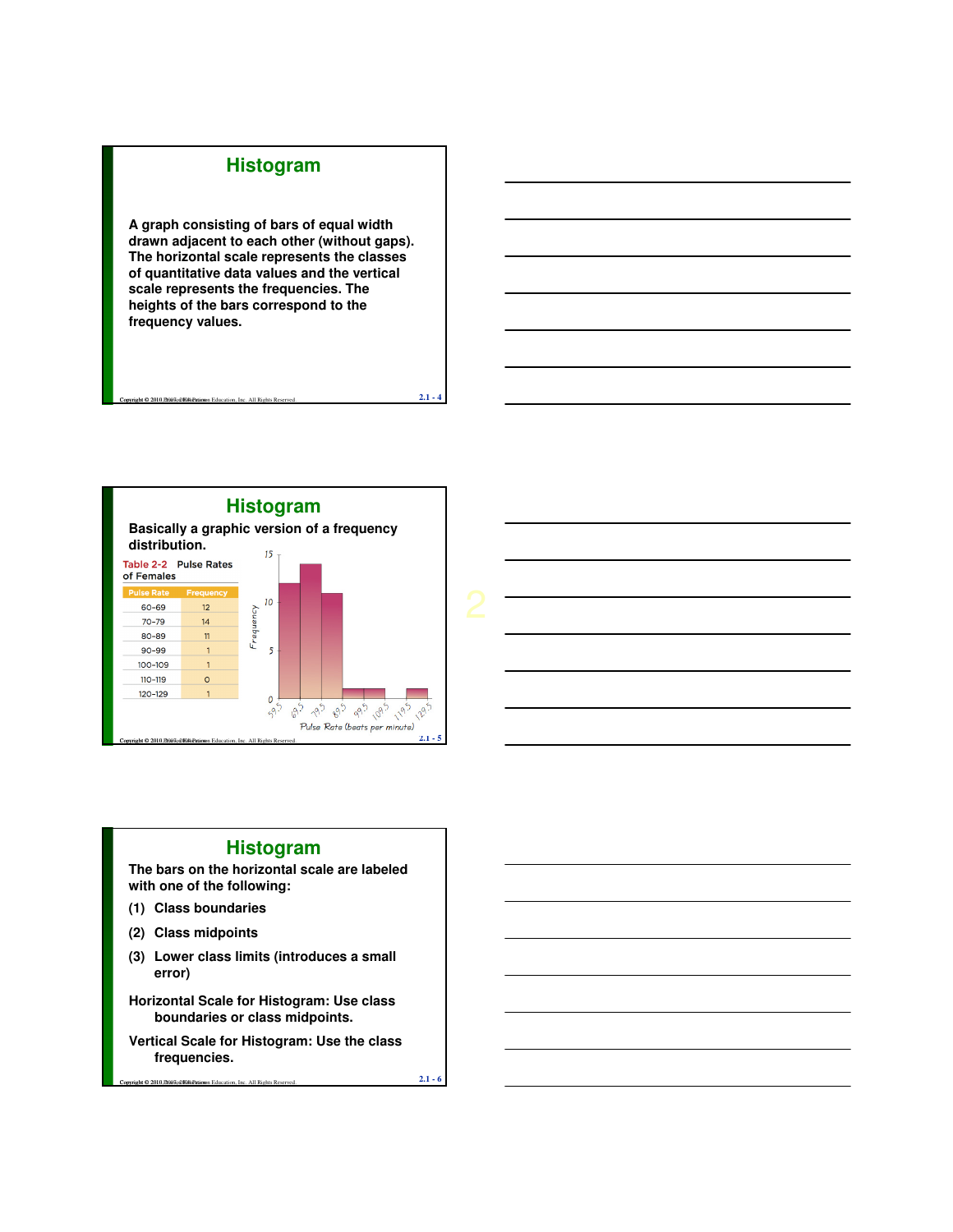## **Histogram**

**A graph consisting of bars of equal width drawn adjacent to each other (without gaps). The horizontal scale represents the classes of quantitative data values and the vertical scale represents the frequencies. The heights of the bars correspond to the frequency values.**

Copyright © 2010, P.1907, 2009 DilluPation Education, Inc. All Rights Reserved. **2.1 - 4** 



#### **Histogram**

**The bars on the horizontal scale are labeled with one of the following:**

- **(1) Class boundaries**
- **(2) Class midpoints**
- **(3) Lower class limits (introduces a small error)**
- **Horizontal Scale for Histogram: Use class boundaries or class midpoints.**
- **Vertical Scale for Histogram: Use the class frequencies.**

**Copyright © 2010, Ph967, 2007, 2004 Pearson Education, Inc. All Rights Reserved. 2.1 - 6**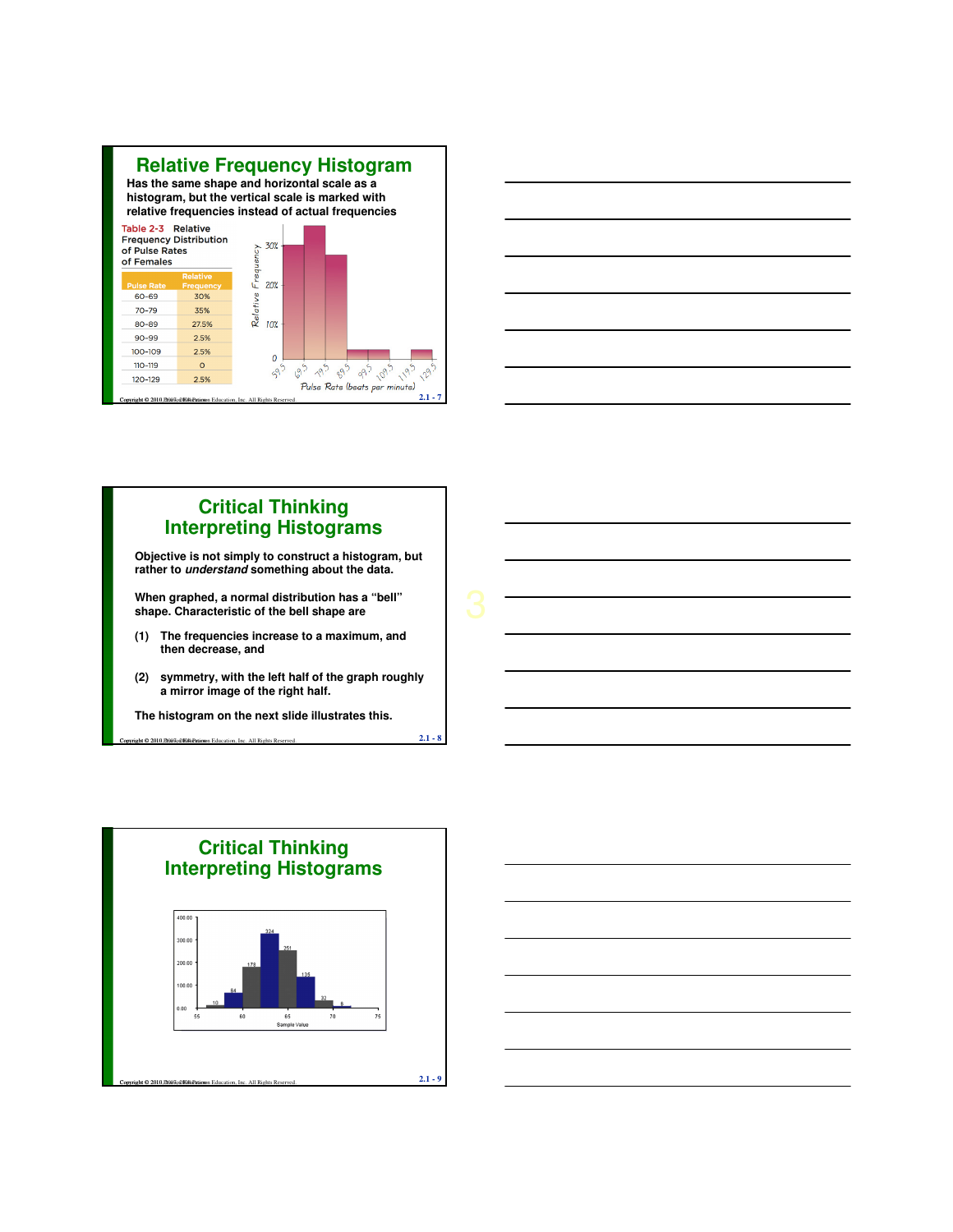



# **Critical Thinking Interpreting Histograms**

**Objective is not simply to construct a histogram, but rather to understand something about the data.**

**When graphed, a normal distribution has a "bell" shape. Characteristic of the bell shape are**

- **(1) The frequencies increase to a maximum, and then decrease, and**
- **(2) symmetry, with the left half of the graph roughly a mirror image of the right half.**

COPGINAL Particular Education, Inc. All Rights Reserved. **2.1** 

**The histogram on the next slide illustrates this.**

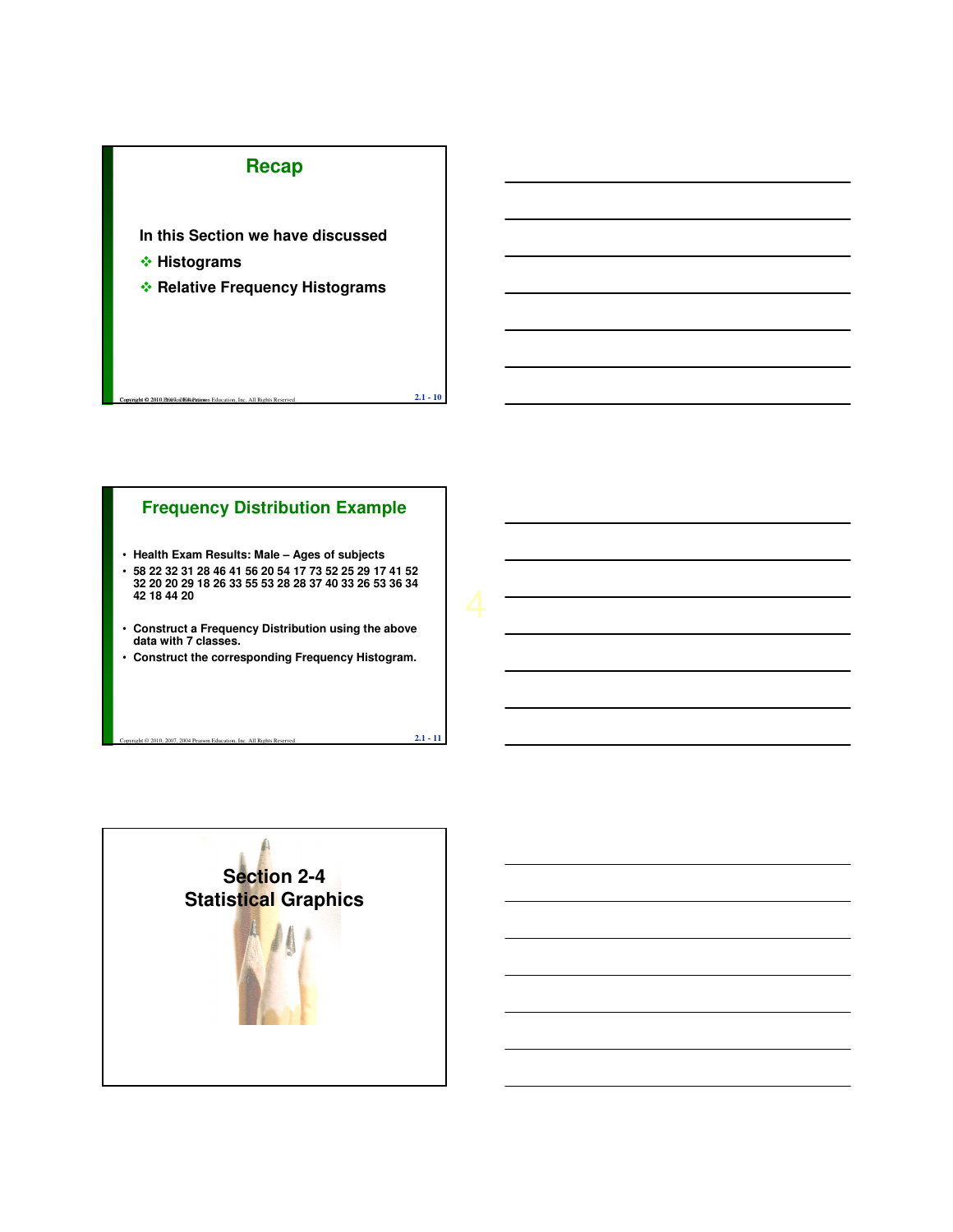## **Recap**

**In this Section we have discussed**

- **Histograms**
- **Relative Frequency Histograms**

## **Frequency Distribution Example**

Copyright © 2010, P.1907, 2009 Dillu Particion Education, Inc. All Rights Reserved. **2.1 - 10** 

• **Health Exam Results: Male – Ages of subjects**

- **58 22 32 31 28 46 41 56 20 54 17 73 52 25 29 17 41 52 32 20 20 29 18 26 33 55 53 28 28 37 40 33 26 53 36 34 42 18 44 20**
- **Construct a Frequency Distribution using the above data with 7 classes.**
- **Construct the corresponding Frequency Histogram.**

at  $@ 2010$ , 2007, 2004 Pearson Education, Inc. All Rights Reserved. **2.1 - 11** 

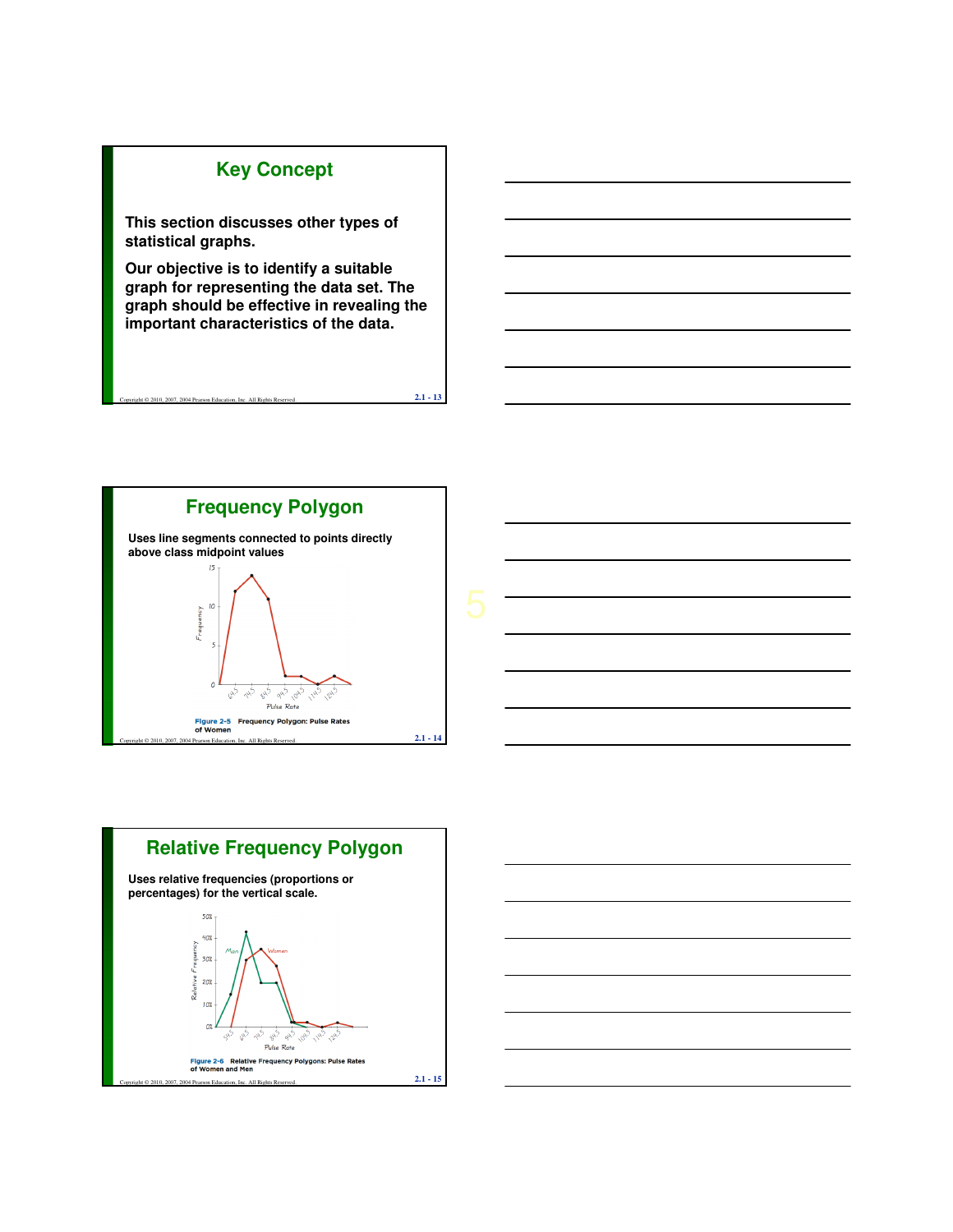# **Key Concept**

**This section discusses other types of statistical graphs.** 

**Our objective is to identify a suitable graph for representing the data set. The graph should be effective in revealing the important characteristics of the data.**

Copyright © 2010, 2007, 2004 Pearson Education, Inc. All Rights Reserved. **2.1 - 13**





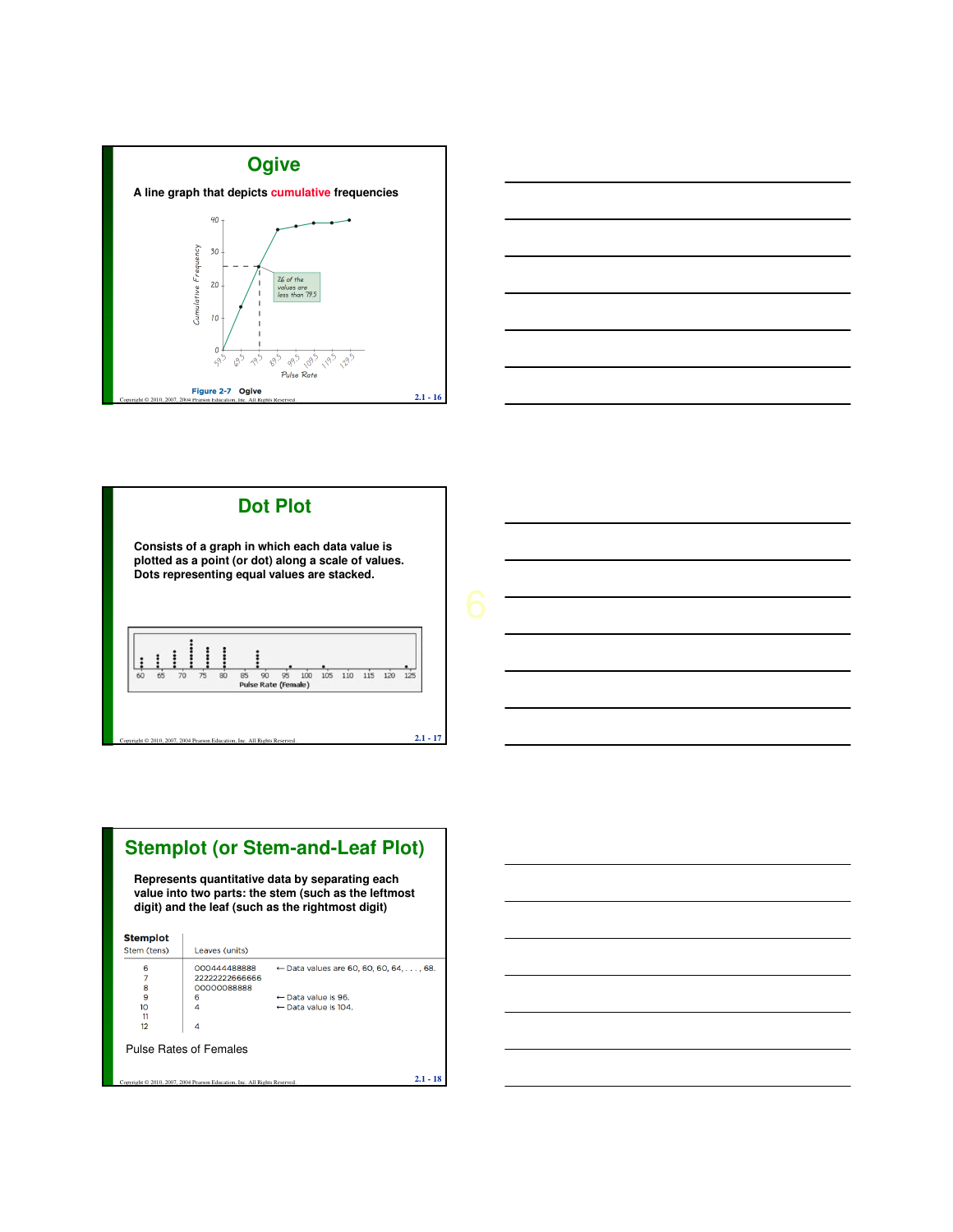



#### **Dot Plot Consists of a graph in which each data value is plotted as a point (or dot) along a scale of values. Dots representing equal values are stacked.** i :  $\vdots$  $\vdots$ ∣: 85 90 95 100 105 110 115 120 125<br>Pulse Rate (Female)

2010, 2007, 2004 Pearson Education, Inc. All Rights Reserved. **2.1 - 17** 

# **Stemplot (or Stem-and-Leaf Plot)**

**Represents quantitative data by separating each value into two parts: the stem (such as the leftmost digit) and the leaf (such as the rightmost digit)**



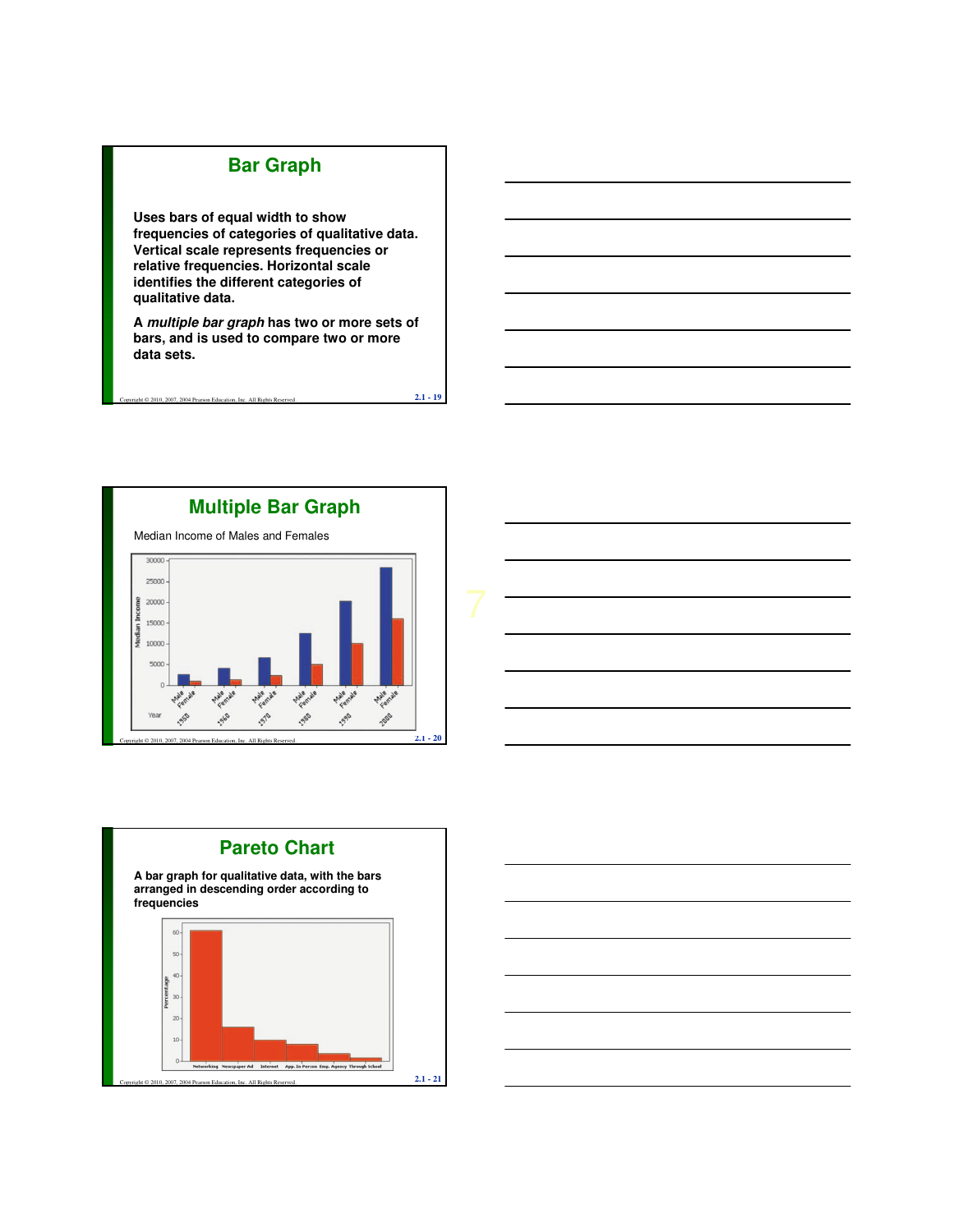## **Bar Graph**

**Uses bars of equal width to show frequencies of categories of qualitative data. Vertical scale represents frequencies or relative frequencies. Horizontal scale identifies the different categories of qualitative data.**

**A multiple bar graph has two or more sets of bars, and is used to compare two or more data sets.**

Copyright © 2010, 2007, 2004 Pearson Education, Inc. All Rights Reserved. **2.1 - 19**







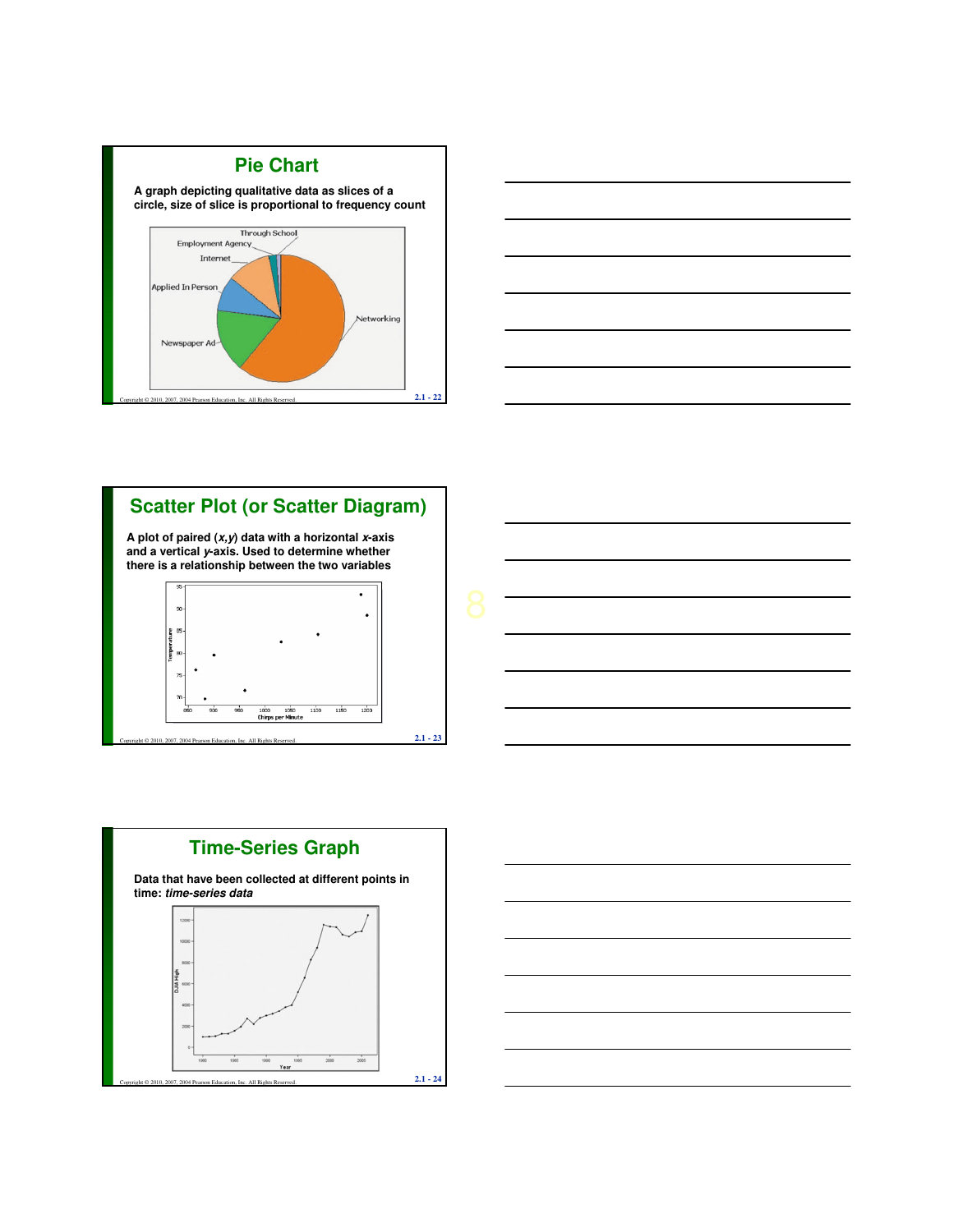



# **Scatter Plot (or Scatter Diagram)**

**A plot of paired (x,y) data with a horizontal x-axis and a vertical y-axis. Used to determine whether there is a relationship between the two variables**







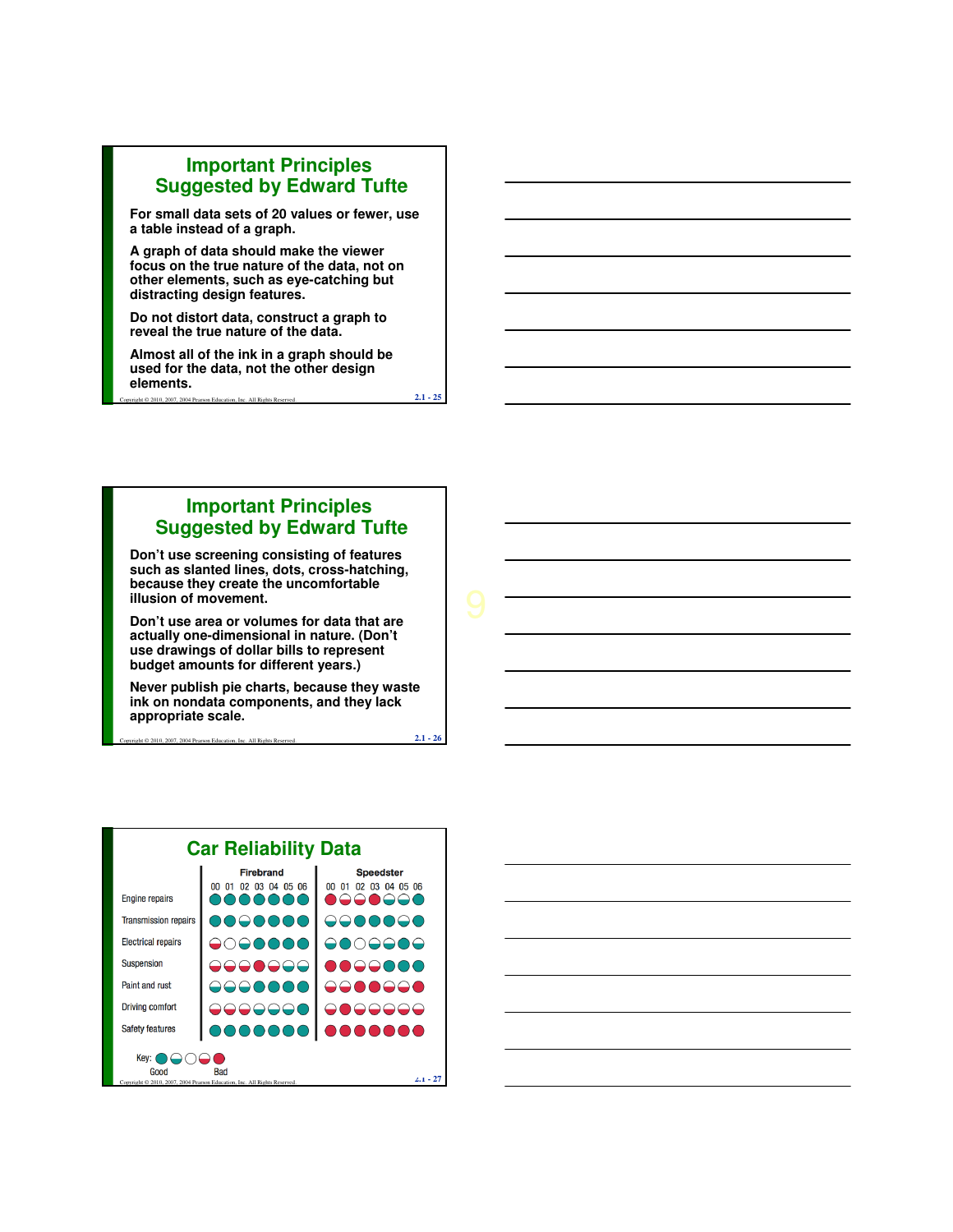#### **Important Principles Suggested by Edward Tufte**

**For small data sets of 20 values or fewer, use a table instead of a graph.**

**A graph of data should make the viewer focus on the true nature of the data, not on other elements, such as eye-catching but distracting design features.**

**Do not distort data, construct a graph to reveal the true nature of the data.**

**Almost all of the ink in a graph should be used for the data, not the other design elements.**

Copyright © 2010, 2007, 2004 Pearson Education, Inc. All Rights Reserved. **2.1 - 25**

## **Important Principles Suggested by Edward Tufte**

**Don't use screening consisting of features such as slanted lines, dots, cross-hatching, because they create the uncomfortable illusion of movement.**

**Don't use area or volumes for data that are actually one-dimensional in nature. (Don't use drawings of dollar bills to represent budget amounts for different years.)**

**Never publish pie charts, because they waste ink on nondata components, and they lack appropriate scale.**

Copyright © 2010, 2007, 2004 Pearson Education, Inc. All Rights Reserved. **2.1 - 26** 

**Car Reliability Data**Firebrand Speedster 00 01 02 03 04 05 06 00 01 02 03 04 05 06 **Engine repairs**  $\bigcirc$   $\bigcirc$   $\bigcirc$   $\bigcirc$ C **Transmission repairs Electrical repairs** Suspension Paint and rust Driving comfort Safety features Key: ( DOOO Copyright © 2010, 2007, 2004 Pearson Education, Inc. All Rights Reserved. **2.1 - 27**

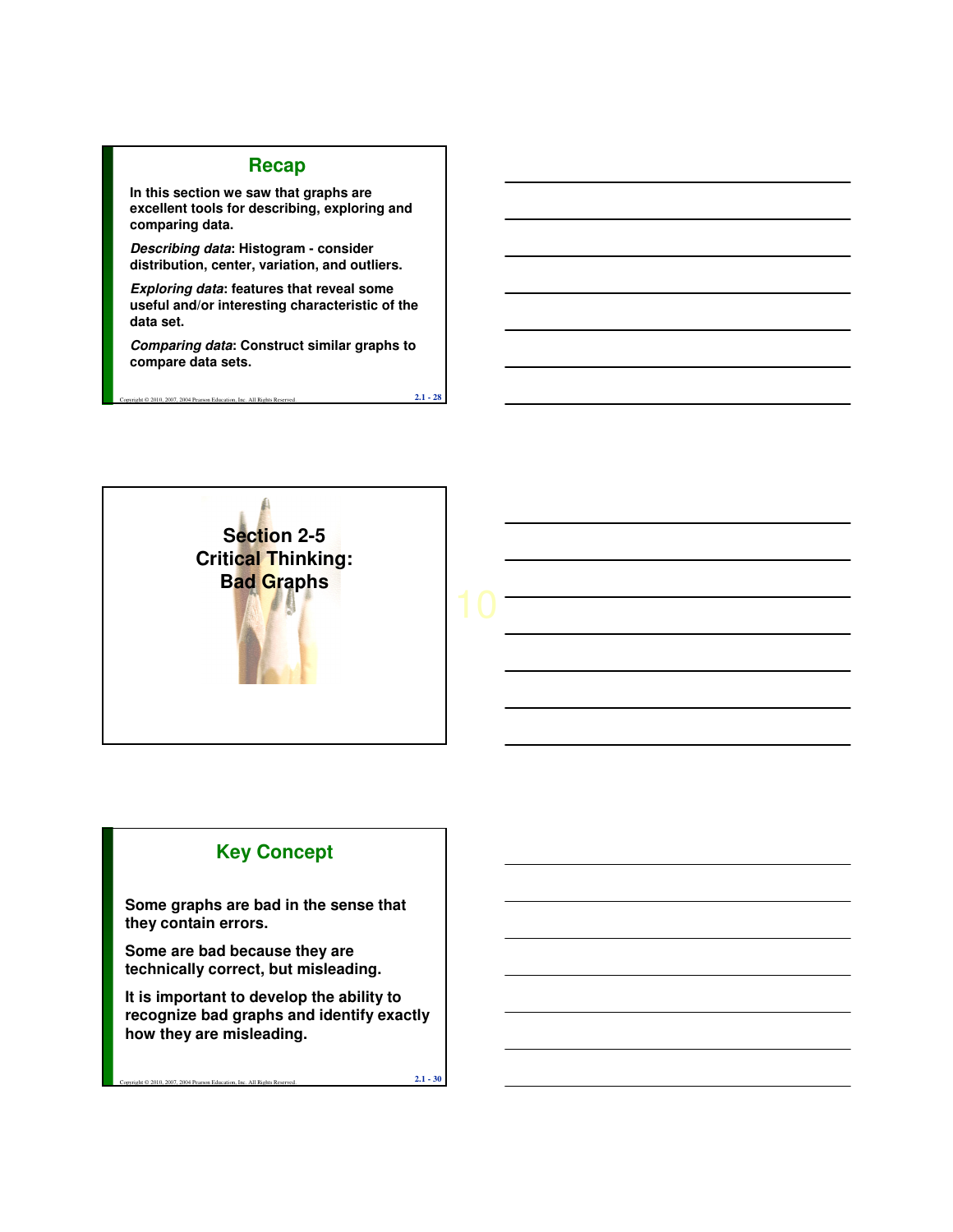#### **Recap**

**In this section we saw that graphs are excellent tools for describing, exploring and comparing data.**

**Describing data: Histogram - consider distribution, center, variation, and outliers.**

**Exploring data: features that reveal some useful and/or interesting characteristic of the data set.**

**Comparing data: Construct similar graphs to compare data sets.**

Copyright © 2010, 2007, 2004 Pearson Education, Inc. All Rights Reserved. **2.1 - 28**



# **Key Concept**

**Some graphs are bad in the sense that they contain errors.**

**Some are bad because they are technically correct, but misleading.**

**It is important to develop the ability to recognize bad graphs and identify exactly how they are misleading.**

Copyright © 2010, 2007, 2004 Pearson Education, Inc. All Rights Reserved. **2.1 - 30**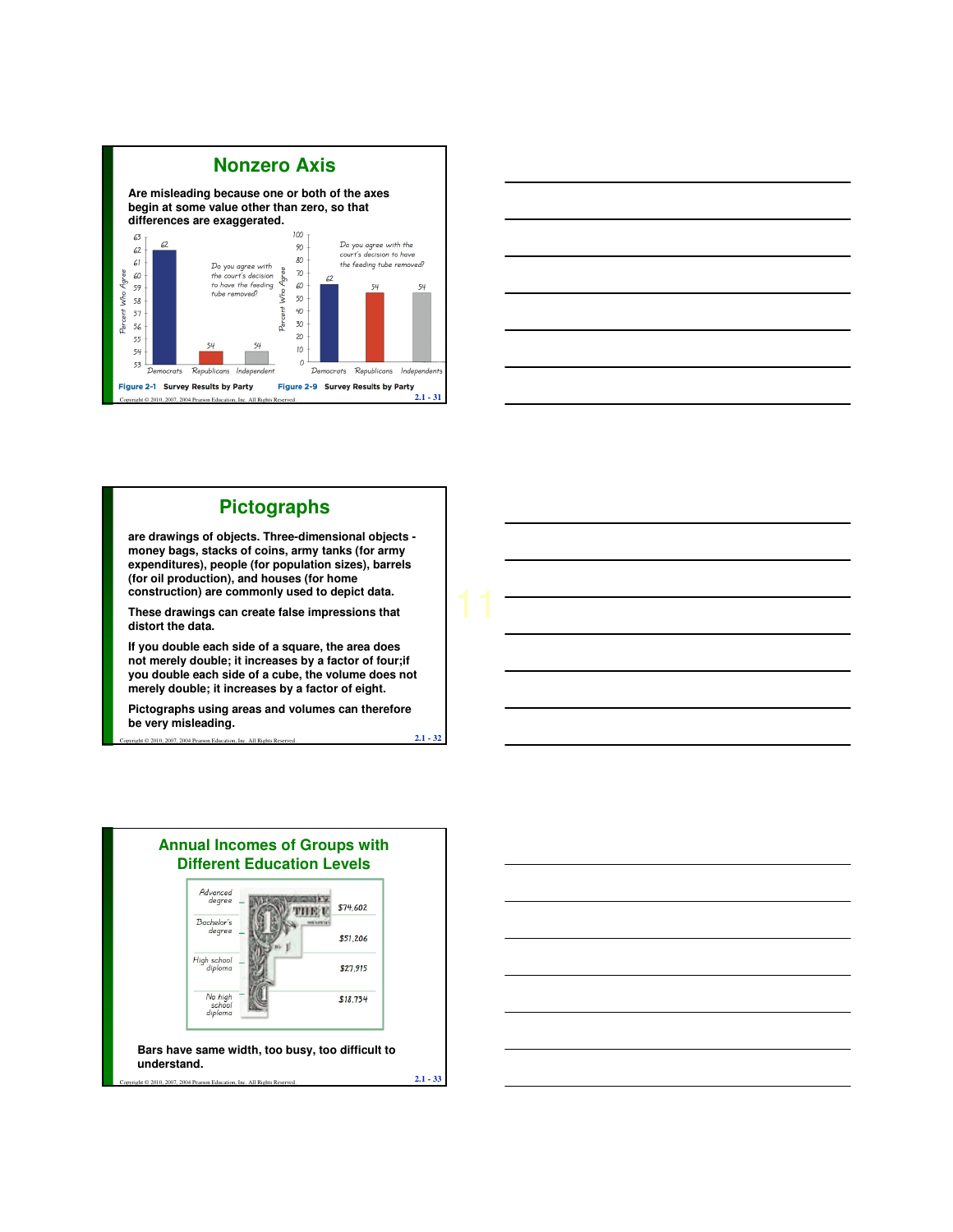



# **Pictographs**

**are drawings of objects. Three-dimensional objects money bags, stacks of coins, army tanks (for army expenditures), people (for population sizes), barrels (for oil production), and houses (for home construction) are commonly used to depict data.**

**These drawings can create false impressions that distort the data.**

**If you double each side of a square, the area does not merely double; it increases by a factor of four;if you double each side of a cube, the volume does not merely double; it increases by a factor of eight.**

**Pictographs using areas and volumes can therefore be very misleading.**

cht © 2010, 2007, 2004 Pearson Education, Inc. All Rights Reserved. **2.1 - 32**